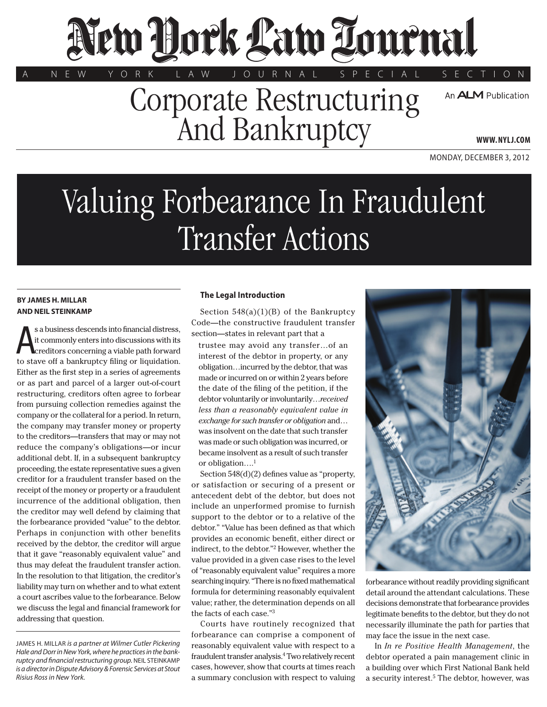# New Hock Law Tournal

Corporate Restructuring And Bankruptcy

A N E W Y O R K L A W J O U R N A L S P E C I A L S E C T I O N

An **ALM** Publication

**www. NYLJ.com**

Monday, December 3, 2012

# Valuing Forbearance In Fraudulent Transfer Actions

# **BY James H. Millar AND Neil Steinkamp**

A s a business descends into financial distress, it commonly enters into discussions with its creditors concerning a viable path forward to stave off a bankruptcy filing or liquidation. Either as the first step in a series of agreements or as part and parcel of a larger out-of-court restructuring, creditors often agree to forbear from pursuing collection remedies against the company or the collateral for a period. In return, the company may transfer money or property to the creditors—transfers that may or may not reduce the company's obligations—or incur additional debt. If, in a subsequent bankruptcy proceeding, the estate representative sues a given creditor for a fraudulent transfer based on the receipt of the money or property or a fraudulent incurrence of the additional obligation, then the creditor may well defend by claiming that the forbearance provided "value" to the debtor. Perhaps in conjunction with other benefits received by the debtor, the creditor will argue that it gave "reasonably equivalent value" and thus may defeat the fraudulent transfer action. In the resolution to that litigation, the creditor's liability may turn on whether and to what extent a court ascribes value to the forbearance. Below we discuss the legal and financial framework for addressing that question.

James H. Millar *is a partner at Wilmer Cutler Pickering Hale and Dorr in New York, where he practices in the bankruptcy and financial restructuring group.* Neil Steinkamp *is a director in Dispute Advisory & Forensic Services at Stout Risius Ross in New York.*

# **The Legal Introduction**

Section  $548(a)(1)(B)$  of the Bankruptcy Code—the constructive fraudulent transfer section—states in relevant part that a

trustee may avoid any transfer…of an interest of the debtor in property, or any obligation…incurred by the debtor, that was made or incurred on or within 2 years before the date of the filing of the petition, if the debtor voluntarily or involuntarily…*received less than a reasonably equivalent value in exchange for such transfer or obligation* and… was insolvent on the date that such transfer was made or such obligation was incurred, or became insolvent as a result of such transfer or obligation....<sup>1</sup>

Section 548(d)(2) defines value as "property, or satisfaction or securing of a present or antecedent debt of the debtor, but does not include an unperformed promise to furnish support to the debtor or to a relative of the debtor." "Value has been defined as that which provides an economic benefit, either direct or indirect, to the debtor."2 However, whether the value provided in a given case rises to the level of "reasonably equivalent value" requires a more searching inquiry. "There is no fixed mathematical formula for determining reasonably equivalent value; rather, the determination depends on all the facts of each case."3

Courts have routinely recognized that forbearance can comprise a component of reasonably equivalent value with respect to a fraudulent transfer analysis.4 Two relatively recent cases, however, show that courts at times reach a summary conclusion with respect to valuing



forbearance without readily providing significant detail around the attendant calculations. These decisions demonstrate that forbearance provides legitimate benefits to the debtor, but they do not necessarily illuminate the path for parties that may face the issue in the next case.

In *In re Positive Health Management*, the debtor operated a pain management clinic in a building over which First National Bank held a security interest.<sup>5</sup> The debtor, however, was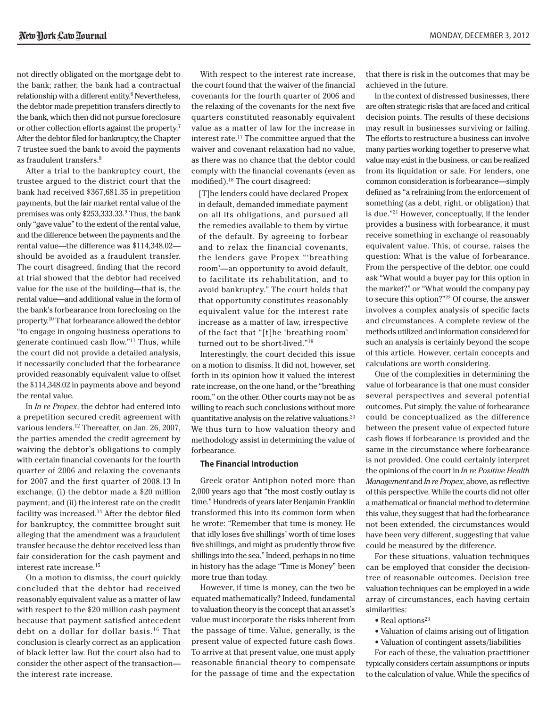not directly obligated on the mortgage debt to the bank; rather, the bank had a contractual relationship with a different entity.<sup>6</sup> Nevertheless, the debtor made prepetition transfers directly to the bank, which then did not pursue foreclosure or other collection efforts against the property.7 After the debtor filed for bankruptcy, the Chapter 7 trustee sued the bank to avoid the payments as fraudulent transfers.8

After a trial to the bankruptcy court, the trustee argued to the district court that the bank had received \$367,681.35 in prepetition payments, but the fair market rental value of the premises was only \$253,333.33.9 Thus, the bank only "gave value" to the extent of the rental value, and the difference between the payments and the rental value—the difference was \$114,348.02 should be avoided as a fraudulent transfer. The court disagreed, finding that the record at trial showed that the debtor had received value for the use of the building—that is, the rental value—and additional value in the form of the bank's forbearance from foreclosing on the property.10 That forbearance allowed the debtor "to engage in ongoing business operations to generate continued cash flow."11 Thus, while the court did not provide a detailed analysis, it necessarily concluded that the forbearance provided reasonably equivalent value to offset the \$114,348.02 in payments above and beyond the rental value.

In *In re Propex*, the debtor had entered into a prepetition secured credit agreement with various lenders.<sup>12</sup> Thereafter, on Jan. 26, 2007, the parties amended the credit agreement by waiving the debtor's obligations to comply with certain financial covenants for the fourth quarter of 2006 and relaxing the covenants for 2007 and the first quarter of 2008.13 In exchange, (i) the debtor made a \$20 million payment, and (ii) the interest rate on the credit facility was increased.14 After the debtor filed for bankruptcy, the committee brought suit alleging that the amendment was a fraudulent transfer because the debtor received less than fair consideration for the cash payment and interest rate increase.15

On a motion to dismiss, the court quickly concluded that the debtor had received reasonably equivalent value as a matter of law with respect to the \$20 million cash payment because that payment satisfied antecedent debt on a dollar for dollar basis.16 That conclusion is clearly correct as an application of black letter law. But the court also had to consider the other aspect of the transaction the interest rate increase.

With respect to the interest rate increase, the court found that the waiver of the financial covenants for the fourth quarter of 2006 and the relaxing of the covenants for the next five quarters constituted reasonably equivalent value as a matter of law for the increase in interest rate.17 The committee argued that the waiver and covenant relaxation had no value, as there was no chance that the debtor could comply with the financial covenants (even as modified).18 The court disagreed:

[T]he lenders could have declared Propex in default, demanded immediate payment on all its obligations, and pursued all the remedies available to them by virtue of the default. By agreeing to forbear and to relax the financial covenants, the lenders gave Propex "'breathing room'—an opportunity to avoid default, to facilitate its rehabilitation, and to avoid bankruptcy." The court holds that that opportunity constitutes reasonably equivalent value for the interest rate increase as a matter of law, irrespective of the fact that "[t]he 'breathing room' turned out to be short-lived."19

Interestingly, the court decided this issue on a motion to dismiss. It did not, however, set forth in its opinion how it valued the interest rate increase, on the one hand, or the "breathing room," on the other. Other courts may not be as willing to reach such conclusions without more quantitative analysis on the relative valuations.20 We thus turn to how valuation theory and methodology assist in determining the value of forbearance.

### **The Financial Introduction**

Greek orator Antiphon noted more than 2,000 years ago that "the most costly outlay is time." Hundreds of years later Benjamin Franklin transformed this into its common form when he wrote: "Remember that time is money. He that idly loses five shillings' worth of time loses five shillings, and might as prudently throw five shillings into the sea." Indeed, perhaps in no time in history has the adage "Time is Money" been more true than today.

However, if time is money, can the two be equated mathematically? Indeed, fundamental to valuation theory is the concept that an asset's value must incorporate the risks inherent from the passage of time. Value, generally, is the present value of expected future cash flows. To arrive at that present value, one must apply reasonable financial theory to compensate for the passage of time and the expectation

that there is risk in the outcomes that may be achieved in the future.

In the context of distressed businesses, there are often strategic risks that are faced and critical decision points. The results of these decisions may result in businesses surviving or failing. The efforts to restructure a business can involve many parties working together to preserve what value may exist in the business, or can be realized from its liquidation or sale. For lenders, one common consideration is forbearance—simply defined as "a refraining from the enforcement of something (as a debt, right, or obligation) that is due."21 However, conceptually, if the lender provides a business with forbearance, it must receive something in exchange of reasonably equivalent value. This, of course, raises the question: What is the value of forbearance. From the perspective of the debtor, one could ask "What would a buyer pay for this option in the market?" or "What would the company pay to secure this option?"22 Of course, the answer involves a complex analysis of specific facts and circumstances. A complete review of the methods utilized and information considered for such an analysis is certainly beyond the scope of this article. However, certain concepts and calculations are worth considering.

One of the complexities in determining the value of forbearance is that one must consider several perspectives and several potential outcomes. Put simply, the value of forbearance could be conceptualized as the difference between the present value of expected future cash flows if forbearance is provided and the same in the circumstance where forbearance is not provided. One could certainly interpret the opinions of the court in *In re Positive Health Management* and *In re Propex*, above, as reflective of this perspective. While the courts did not offer a mathematical or financial method to determine this value, they suggest that had the forbearance not been extended, the circumstances would have been very different, suggesting that value could be measured by the difference.

For these situations, valuation techniques can be employed that consider the decisiontree of reasonable outcomes. Decision tree valuation techniques can be employed in a wide array of circumstances, each having certain similarities:

- Real options<sup>23</sup>
- Valuation of claims arising out of litigation
- Valuation of contingent assets/liabilities

For each of these, the valuation practitioner typically considers certain assumptions or inputs to the calculation of value. While the specifics of